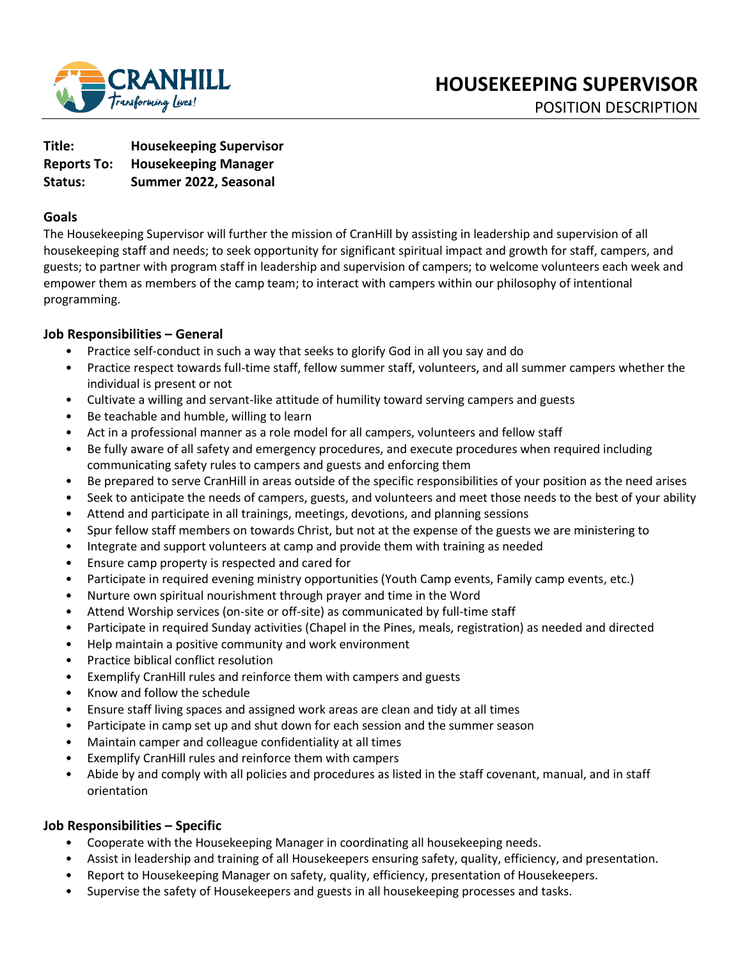

| Title:             | <b>Housekeeping Supervisor</b> |
|--------------------|--------------------------------|
| <b>Reports To:</b> | <b>Housekeeping Manager</b>    |
| Status:            | Summer 2022, Seasonal          |

### **Goals**

The Housekeeping Supervisor will further the mission of CranHill by assisting in leadership and supervision of all housekeeping staff and needs; to seek opportunity for significant spiritual impact and growth for staff, campers, and guests; to partner with program staff in leadership and supervision of campers; to welcome volunteers each week and empower them as members of the camp team; to interact with campers within our philosophy of intentional programming.

### **Job Responsibilities – General**

- Practice self-conduct in such a way that seeks to glorify God in all you say and do
- Practice respect towards full-time staff, fellow summer staff, volunteers, and all summer campers whether the individual is present or not
- Cultivate a willing and servant-like attitude of humility toward serving campers and guests
- Be teachable and humble, willing to learn
- Act in a professional manner as a role model for all campers, volunteers and fellow staff
- Be fully aware of all safety and emergency procedures, and execute procedures when required including communicating safety rules to campers and guests and enforcing them
- Be prepared to serve CranHill in areas outside of the specific responsibilities of your position as the need arises
- Seek to anticipate the needs of campers, guests, and volunteers and meet those needs to the best of your ability
- Attend and participate in all trainings, meetings, devotions, and planning sessions
- Spur fellow staff members on towards Christ, but not at the expense of the guests we are ministering to
- Integrate and support volunteers at camp and provide them with training as needed
- Ensure camp property is respected and cared for
- Participate in required evening ministry opportunities (Youth Camp events, Family camp events, etc.)
- Nurture own spiritual nourishment through prayer and time in the Word
- Attend Worship services (on-site or off-site) as communicated by full-time staff
- Participate in required Sunday activities (Chapel in the Pines, meals, registration) as needed and directed
- Help maintain a positive community and work environment
- Practice biblical conflict resolution
- Exemplify CranHill rules and reinforce them with campers and guests
- Know and follow the schedule
- Ensure staff living spaces and assigned work areas are clean and tidy at all times
- Participate in camp set up and shut down for each session and the summer season
- Maintain camper and colleague confidentiality at all times
- Exemplify CranHill rules and reinforce them with campers
- Abide by and comply with all policies and procedures as listed in the staff covenant, manual, and in staff orientation

#### **Job Responsibilities – Specific**

- Cooperate with the Housekeeping Manager in coordinating all housekeeping needs.
- Assist in leadership and training of all Housekeepers ensuring safety, quality, efficiency, and presentation.
- Report to Housekeeping Manager on safety, quality, efficiency, presentation of Housekeepers.
- Supervise the safety of Housekeepers and guests in all housekeeping processes and tasks.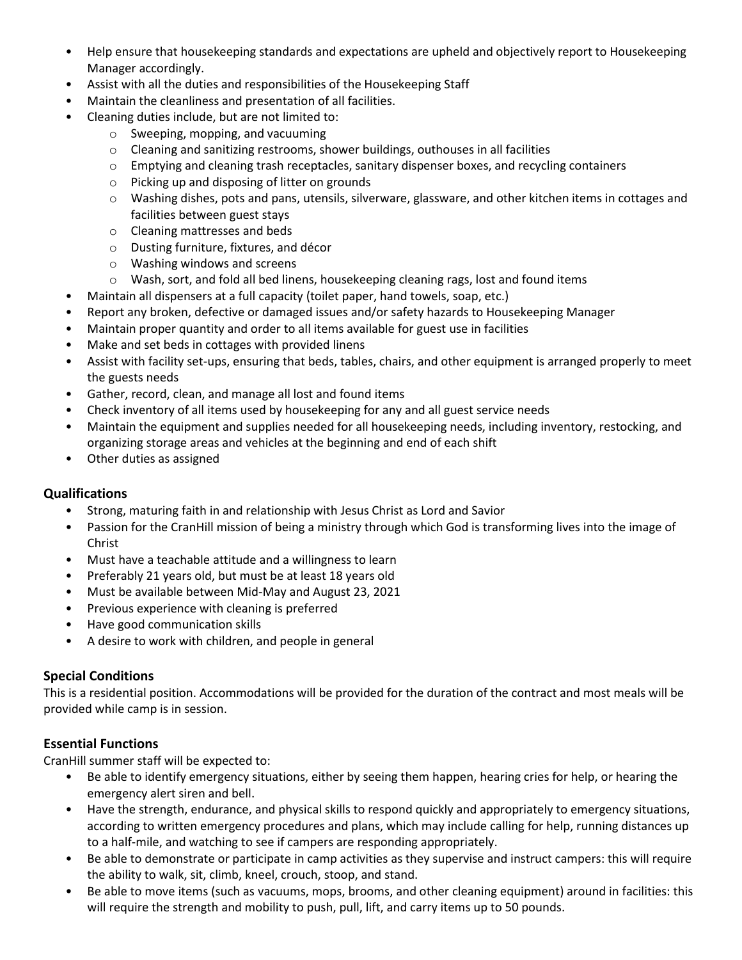- Help ensure that housekeeping standards and expectations are upheld and objectively report to Housekeeping Manager accordingly.
- Assist with all the duties and responsibilities of the Housekeeping Staff
- Maintain the cleanliness and presentation of all facilities.
- Cleaning duties include, but are not limited to:
	- o Sweeping, mopping, and vacuuming
	- $\circ$  Cleaning and sanitizing restrooms, shower buildings, outhouses in all facilities
	- $\circ$  Emptying and cleaning trash receptacles, sanitary dispenser boxes, and recycling containers
	- o Picking up and disposing of litter on grounds
	- o Washing dishes, pots and pans, utensils, silverware, glassware, and other kitchen items in cottages and facilities between guest stays
	- o Cleaning mattresses and beds
	- o Dusting furniture, fixtures, and décor
	- o Washing windows and screens
	- o Wash, sort, and fold all bed linens, housekeeping cleaning rags, lost and found items
- Maintain all dispensers at a full capacity (toilet paper, hand towels, soap, etc.)
- Report any broken, defective or damaged issues and/or safety hazards to Housekeeping Manager
- Maintain proper quantity and order to all items available for guest use in facilities
- Make and set beds in cottages with provided linens
- Assist with facility set-ups, ensuring that beds, tables, chairs, and other equipment is arranged properly to meet the guests needs
- Gather, record, clean, and manage all lost and found items
- Check inventory of all items used by housekeeping for any and all guest service needs
- Maintain the equipment and supplies needed for all housekeeping needs, including inventory, restocking, and organizing storage areas and vehicles at the beginning and end of each shift
- Other duties as assigned

### **Qualifications**

- Strong, maturing faith in and relationship with Jesus Christ as Lord and Savior
- Passion for the CranHill mission of being a ministry through which God is transforming lives into the image of Christ
- Must have a teachable attitude and a willingness to learn
- Preferably 21 years old, but must be at least 18 years old
- Must be available between Mid-May and August 23, 2021
- Previous experience with cleaning is preferred
- Have good communication skills
- A desire to work with children, and people in general

# **Special Conditions**

This is a residential position. Accommodations will be provided for the duration of the contract and most meals will be provided while camp is in session.

# **Essential Functions**

CranHill summer staff will be expected to:

- Be able to identify emergency situations, either by seeing them happen, hearing cries for help, or hearing the emergency alert siren and bell.
- Have the strength, endurance, and physical skills to respond quickly and appropriately to emergency situations, according to written emergency procedures and plans, which may include calling for help, running distances up to a half-mile, and watching to see if campers are responding appropriately.
- Be able to demonstrate or participate in camp activities as they supervise and instruct campers: this will require the ability to walk, sit, climb, kneel, crouch, stoop, and stand.
- Be able to move items (such as vacuums, mops, brooms, and other cleaning equipment) around in facilities: this will require the strength and mobility to push, pull, lift, and carry items up to 50 pounds.